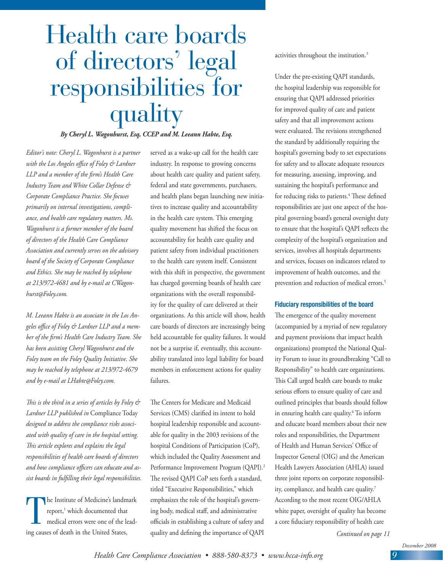# Health care boards of directors' legal responsibilities for quality

*By Cheryl L. Wagonhurst, Esq, CCEP and M. Leeann Habte, Esq.*

*Editor's note: Cheryl L. Wagonhurst is a partner with the Los Angeles office of Foley & Lardner LLP and a member of the firm's Health Care Industry Team and White Collar Defense & Corporate Compliance Practice. She focuses primarily on internal investigations, compliance, and health care regulatory matters. Ms. Wagonhurst is a former member of the board of directors of the Health Care Compliance Association and currently serves on the advisory board of the Society of Corporate Compliance and Ethics. She may be reached by telephone at 213/972-4681 and by e-mail at CWagonhurst@Foley.com.*

*M. Leeann Habte is an associate in the Los Angeles office of Foley & Lardner LLP and a member of the firm's Health Care Industry Team. She has been assisting Cheryl Wagonhurst and the Foley team on the Foley Quality Initiative. She may be reached by telephone at 213/972-4679 and by e-mail at LHabte@Foley.com.* 

*This is the third in a series of articles by Foley & Lardner LLP published in* Compliance Today *designed to address the compliance risks associated with quality of care in the hospital setting. This article explores and explains the legal responsibilities of health care boards of directors and how compliance officers can educate and assist boards in fulfilling their legal responsibilities.*

The Institute of Medicine's landmark report,<sup>1</sup> which documented that medical errors were one of the leading causes of death in the United States,

served as a wake-up call for the health care industry. In response to growing concerns about health care quality and patient safety, federal and state governments, purchasers, and health plans began launching new initiatives to increase quality and accountability in the health care system. This emerging quality movement has shifted the focus on accountability for health care quality and patient safety from individual practitioners to the health care system itself. Consistent with this shift in perspective, the government has charged governing boards of health care organizations with the overall responsibility for the quality of care delivered at their organizations. As this article will show, health care boards of directors are increasingly being held accountable for quality failures. It would not be a surprise if, eventually, this accountability translated into legal liability for board members in enforcement actions for quality failures.

The Centers for Medicare and Medicaid Services (CMS) clarified its intent to hold hospital leadership responsible and accountable for quality in the 2003 revisions of the hospital Conditions of Participation (CoP), which included the Quality Assessment and Performance Improvement Program (QAPI).2 The revised QAPI CoP sets forth a standard, titled "Executive Responsibilities," which emphasizes the role of the hospital's governing body, medical staff, and administrative officials in establishing a culture of safety and quality and defining the importance of QAPI

activities throughout the institution.3

Under the pre-existing QAPI standards, the hospital leadership was responsible for ensuring that QAPI addressed priorities for improved quality of care and patient safety and that all improvement actions were evaluated. The revisions strengthened the standard by additionally requiring the hospital's governing body to set expectations for safety and to allocate adequate resources for measuring, assessing, improving, and sustaining the hospital's performance and for reducing risks to patients.<sup>4</sup> These defined responsibilities are just one aspect of the hospital governing board's general oversight duty to ensure that the hospital's QAPI reflects the complexity of the hospital's organization and services, involves all hospitals departments and services, focuses on indicators related to improvement of health outcomes, and the prevention and reduction of medical errors.<sup>5</sup>

### **Fiduciary responsibilities of the board**

The emergence of the quality movement (accompanied by a myriad of new regulatory and payment provisions that impact health organizations) prompted the National Quality Forum to issue its groundbreaking "Call to Responsibility" to health care organizations. This Call urged health care boards to make serious efforts to ensure quality of care and outlined principles that boards should follow in ensuring health care quality.6 To inform and educate board members about their new roles and responsibilities, the Department of Health and Human Services' Office of Inspector General (OIG) and the American Health Lawyers Association (AHLA) issued three joint reports on corporate responsibility, compliance, and health care quality.<sup>7</sup> According to the most recent OIG/AHLA white paper, oversight of quality has become a core fiduciary responsibility of health care

*Continued on page 11*

*9*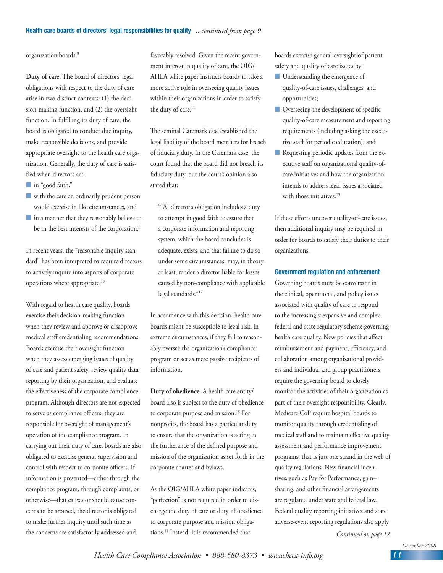#### **Health care boards of directors' legal responsibilities for quality** *...continued from page 9*

#### organization boards.<sup>8</sup>

**Duty of care.** The board of directors' legal obligations with respect to the duty of care arise in two distinct contexts: (1) the decision-making function, and (2) the oversight function. In fulfilling its duty of care, the board is obligated to conduct due inquiry, make responsible decisions, and provide appropriate oversight to the health care organization. Generally, the duty of care is satisfied when directors act:

- in "good faith,"
- $\blacksquare$  with the care an ordinarily prudent person would exercise in like circumstances, and
- n in a manner that they reasonably believe to be in the best interests of the corporation.<sup>9</sup>

In recent years, the "reasonable inquiry standard" has been interpreted to require directors to actively inquire into aspects of corporate operations where appropriate.<sup>10</sup>

With regard to health care quality, boards exercise their decision-making function when they review and approve or disapprove medical staff credentialing recommendations. Boards exercise their oversight function when they assess emerging issues of quality of care and patient safety, review quality data reporting by their organization, and evaluate the effectiveness of the corporate compliance program. Although directors are not expected to serve as compliance officers, they are responsible for oversight of management's operation of the compliance program. In carrying out their duty of care, boards are also obligated to exercise general supervision and control with respect to corporate officers. If information is presented—either through the compliance program, through complaints, or otherwise—that causes or should cause concerns to be aroused, the director is obligated to make further inquiry until such time as the concerns are satisfactorily addressed and

favorably resolved. Given the recent government interest in quality of care, the OIG/ AHLA white paper instructs boards to take a more active role in overseeing quality issues within their organizations in order to satisfy the duty of care.<sup>11</sup>

The seminal Caremark case established the legal liability of the board members for breach of fiduciary duty. In the Caremark case, the court found that the board did not breach its fiduciary duty, but the court's opinion also stated that:

"[A] director's obligation includes a duty to attempt in good faith to assure that a corporate information and reporting system, which the board concludes is adequate, exists, and that failure to do so under some circumstances, may, in theory at least, render a director liable for losses caused by non-compliance with applicable legal standards."12

In accordance with this decision, health care boards might be susceptible to legal risk, in extreme circumstances, if they fail to reasonably oversee the organization's compliance program or act as mere passive recipients of information.

**Duty of obedience.** A health care entity/ board also is subject to the duty of obedience to corporate purpose and mission.<sup>13</sup> For nonprofits, the board has a particular duty to ensure that the organization is acting in the furtherance of the defined purpose and mission of the organization as set forth in the corporate charter and bylaws.

As the OIG/AHLA white paper indicates, "perfection" is not required in order to discharge the duty of care or duty of obedience to corporate purpose and mission obligations.14 Instead, it is recommended that

boards exercise general oversight of patient safety and quality of care issues by:

- **n** Understanding the emergence of quality-of-care issues, challenges, and opportunities;
- **n** Overseeing the development of specific quality-of-care measurement and reporting requirements (including asking the executive staff for periodic education); and
- **n** Requesting periodic updates from the executive staff on organizational quality-ofcare initiatives and how the organization intends to address legal issues associated with those initiatives.<sup>15</sup>

If these efforts uncover quality-of-care issues, then additional inquiry may be required in order for boards to satisfy their duties to their organizations.

## **Government regulation and enforcement**

Governing boards must be conversant in the clinical, operational, and policy issues associated with quality of care to respond to the increasingly expansive and complex federal and state regulatory scheme governing health care quality. New policies that affect reimbursement and payment, efficiency, and collaboration among organizational providers and individual and group practitioners require the governing board to closely monitor the activities of their organization as part of their oversight responsibility. Clearly, Medicare CoP require hospital boards to monitor quality through credentialing of medical staff and to maintain effective quality assessment and performance improvement programs; that is just one strand in the web of quality regulations. New financial incentives, such as Pay for Performance, gain– sharing, and other financial arrangements are regulated under state and federal law. Federal quality reporting initiatives and state adverse-event reporting regulations also apply

*Continued on page 12*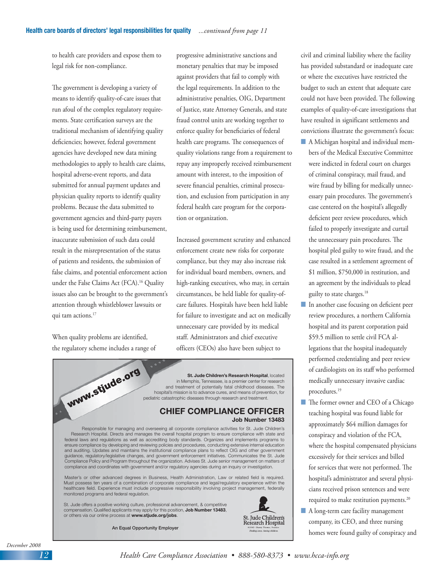to health care providers and expose them to legal risk for non-compliance.

The government is developing a variety of means to identify quality-of-care issues that run afoul of the complex regulatory requirements. State certification surveys are the traditional mechanism of identifying quality deficiencies; however, federal government agencies have developed new data mining methodologies to apply to health care claims, hospital adverse-event reports, and data submitted for annual payment updates and physician quality reports to identify quality problems. Because the data submitted to government agencies and third-party payers is being used for determining reimbursement, inaccurate submission of such data could result in the misrepresentation of the status of patients and residents, the submission of false claims, and potential enforcement action under the False Claims Act (FCA).<sup>16</sup> Quality issues also can be brought to the government's attention through whistleblower lawsuits or qui tam actions.<sup>17</sup>

When quality problems are identified, the regulatory scheme includes a range of

www.stjude.org

progressive administrative sanctions and monetary penalties that may be imposed against providers that fail to comply with the legal requirements. In addition to the administrative penalties, OIG, Department of Justice, state Attorney Generals, and state fraud control units are working together to enforce quality for beneficiaries of federal health care programs. The consequences of quality violations range from a requirement to repay any improperly received reimbursement amount with interest, to the imposition of severe financial penalties, criminal prosecution, and exclusion from participation in any federal health care program for the corporation or organization.

Increased government scrutiny and enhanced enforcement create new risks for corporate compliance, but they may also increase risk for individual board members, owners, and high-ranking executives, who may, in certain circumstances, be held liable for quality-ofcare failures. Hospitals have been held liable for failure to investigate and act on medically unnecessary care provided by its medical staff. Administrators and chief executive officers (CEOs) also have been subject to

**St. Jude Children's Research Hospital, located** in Memphis, Tennessee, is a premier center for research and treatment of potentially fatal childhood diseases. The hospital's mission is to advance cures, and means of prevention, for pediatric catastrophic diseases through research and treatment.

## **CHIEF COMPLIANCE OFFICER Job Number 13483**

Responsible for managing and overseeing all corporate compliance activities for St. Jude Children's Research Hospital. Directs and manages the overall hospital program to ensure compliance with state and federal laws and regulations as well as accrediting body standards. Organizes and implements programs to ensure compliance by developing and reviewing policies and procedures, conducting extensive internal education and auditing. Updates and maintains the institutional compliance plans to reflect OIG and other government guidance, regulatory/legislative changes, and government enforcement initiatives. Communicates the St. Jude Compliance Policy and Program throughout the organization. Advises St. Jude senior management on matters of compliance and coordinates with government and/or regulatory agencies during an inquiry or investigation.

Master's or other advanced degrees in Business, Health Administration, Law or related field is required. Must possess ten years of a combination of corporate compliance and legal/regulatory experience within the healthcare field. Experience must include progressive responsibility involving project management, federally monitored programs and federal regulation.

St. Jude offers a positive working culture, professional advancement, & competitive compensation. Qualified applicants may apply for this position, Job Number 13483, or others via our online process at **www.stjude.org/jobs**.

An Equal Opportunity Employer



civil and criminal liability where the facility has provided substandard or inadequate care or where the executives have restricted the budget to such an extent that adequate care could not have been provided. The following examples of quality-of-care investigations that have resulted in significant settlements and convictions illustrate the government's focus:

- **n** A Michigan hospital and individual members of the Medical Executive Committee were indicted in federal court on charges of criminal conspiracy, mail fraud, and wire fraud by billing for medically unnecessary pain procedures. The government's case centered on the hospital's allegedly deficient peer review procedures, which failed to properly investigate and curtail the unnecessary pain procedures. The hospital pled guilty to wire fraud, and the case resulted in a settlement agreement of \$1 million, \$750,000 in restitution, and an agreement by the individuals to plead guilty to state charges.<sup>18</sup>
- **n** In another case focusing on deficient peer review procedures, a northern California hospital and its parent corporation paid \$59.5 million to settle civil FCA allegations that the hospital inadequately performed credentialing and peer review of cardiologists on its staff who performed medically unnecessary invasive cardiac procedures.19
- The former owner and CEO of a Chicago teaching hospital was found liable for approximately \$64 million damages for conspiracy and violation of the FCA, where the hospital compensated physicians excessively for their services and billed for services that were not performed. The hospital's administrator and several physicians received prison sentences and were required to make restitution payments.20
- A long-term care facility management company, its CEO, and three nursing homes were found guilty of conspiracy and



*12*

*Health Care Compliance Association • 888-580-8373 • www.hcca-info.org*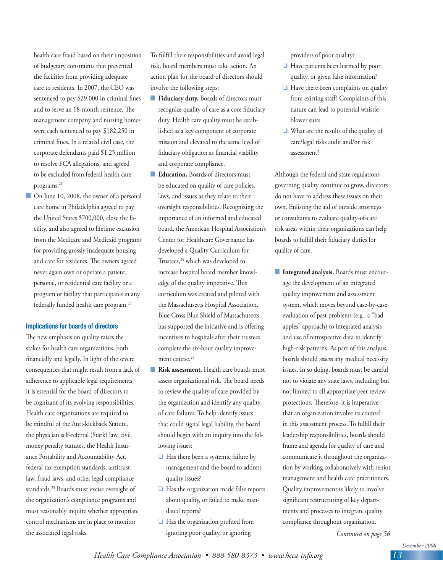health care fraud based on their imposition of budgetary constraints that prevented the facilities from providing adequate care to residents. In 2007, the CEO was sentenced to pay \$29,000 in criminal fines and to serve an 18-month sentence. The management company and nursing homes were each sentenced to pay \$182,250 in criminal fines. In a related civil case, the corporate defendants paid \$1.25 million to resolve FCA allegations, and agreed to be excluded from federal health care programs.<sup>21</sup>

■ On June 10, 2008, the owner of a personal care home in Philadelphia agreed to pay the United States \$700,000, close the facility, and also agreed to lifetime exclusion from the Medicare and Medicaid programs for providing grossly inadequate housing and care for residents. The owners agreed never again own or operate a patient, personal, or residential care facility or a program or facility that participates in any federally funded health care program.22

## **Implications for boards of directors**

The new emphasis on quality raises the stakes for health care organizations, both financially and legally. In light of the severe consequences that might result from a lack of adherence to applicable legal requirements, it is essential for the board of directors to be cognizant of its evolving responsibilities. Health care organizations are required to be mindful of the Anti-kickback Statute, the physician self-referral (Stark) law, civil money penalty statutes, the Health Insurance Portability and Accountability Act, federal tax exemption standards, antitrust law, fraud laws, and other legal compliance standards.23 Boards must excise oversight of the organization's compliance programs and must reasonably inquire whether appropriate control mechanisms are in place to monitor the associated legal risks.

To fulfill their responsibilities and avoid legal risk, board members must take action. An action plan for the board of directors should involve the following steps:

- **Fiduciary duty.** Boards of directors must recognize quality of care as a core fiduciary duty. Health care quality must be established as a key component of corporate mission and elevated to the same level of fiduciary obligation as financial viability and corporate compliance.
- **Education.** Boards of directors must be educated on quality of care policies, laws, and issues as they relate to their oversight responsibilities. Recognizing the importance of an informed and educated board, the American Hospital Association's Center for Healthcare Governance has developed a Quality Curriculum for Trustees,<sup>24</sup> which was developed to increase hospital board member knowledge of the quality imperative. This curriculum was created and piloted with the Massachusetts Hospital Association. Blue Cross Blue Shield of Massachusetts has supported the initiative and is offering incentives to hospitals after their trustees complete the six-hour quality improvement course.<sup>25</sup>
- **Risk assessment.** Health care boards must assess organizational risk. The board needs to review the quality of care provided by the organization and identify any quality of care failures. To help identify issues that could signal legal liability, the board should begin with an inquiry into the following issues:
	- $\Box$  Has there been a systemic failure by management and the board to address quality issues?
	- $\Box$  Has the organization made false reports about quality, or failed to make mandated reports?
	- $\Box$  Has the organization profited from ignoring poor quality, or ignoring

providers of poor quality?

- $\Box$  Have patients been harmed by poor quality, or given false information?
- $\Box$  Have there been complaints on quality from existing staff? Complaints of this nature can lead to potential whistleblower suits.
- $\Box$  What are the results of the quality of care/legal risks audit and/or risk assessment?

Although the federal and state regulations governing quality continue to grow, directors do not have to address these issues on their own. Enlisting the aid of outside attorneys or consultants to evaluate quality-of-care risk areas within their organizations can help boards to fulfill their fiduciary duties for quality of care.

**Integrated analysis.** Boards must encourage the development of an integrated quality improvement and assessment system, which moves beyond case-by-case evaluation of past problems (e.g., a "bad apples" approach) to integrated analysis and use of retrospective data to identify high-risk patterns. As part of this analysis, boards should assess any medical necessity issues. In so doing, boards must be careful not to violate any state laws, including but not limited to all appropriate peer review protections. Therefore, it is imperative that an organization involve its counsel in this assessment process. To fulfill their leadership responsibilities, boards should frame and agenda for quality of care and communicate it throughout the organization by working collaboratively with senior management and health care practitioners. Quality improvement is likely to involve significant restructuring of key departments and processes to integrate quality compliance throughout organization.

*Continued on page 56*

*13*